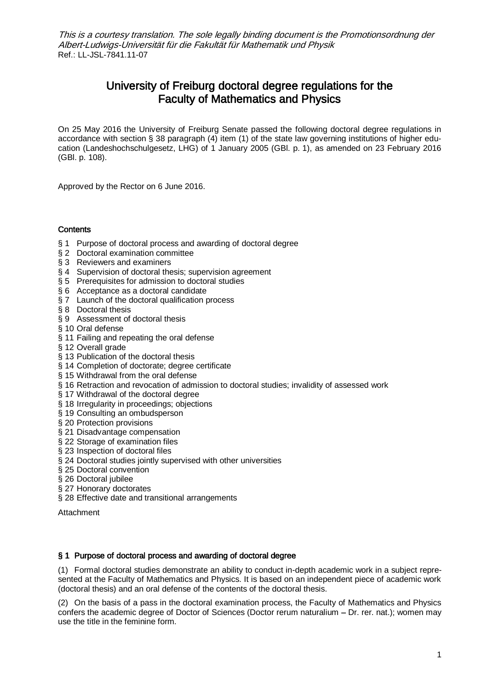# University of Freiburg doctoral degree regulations for the Faculty of Mathematics and Physics

On 25 May 2016 the University of Freiburg Senate passed the following doctoral degree regulations in accordance with section § 38 paragraph (4) item (1) of the state law governing institutions of higher education (Landeshochschulgesetz, LHG) of 1 January 2005 (GBl. p. 1), as amended on 23 February 2016 (GBl. p. 108).

Approved by the Rector on 6 June 2016.

## **Contents**

- § 1 Purpose of doctoral process and awarding of doctoral degree
- § 2 Doctoral examination committee
- § 3 Reviewers and examiners
- § 4 Supervision of doctoral thesis; supervision agreement
- § 5 Prerequisites for admission to doctoral studies
- § 6 Acceptance as a doctoral candidate
- § 7 Launch of the doctoral qualification process
- § 8 Doctoral thesis
- § 9 Assessment of doctoral thesis
- § 10 Oral defense
- § 11 Failing and repeating the oral defense
- § 12 Overall grade
- § 13 Publication of the doctoral thesis
- § 14 Completion of doctorate; degree certificate
- § 15 Withdrawal from the oral defense
- § 16 Retraction and revocation of admission to doctoral studies; invalidity of assessed work
- § 17 Withdrawal of the doctoral degree
- § 18 Irregularity in proceedings; objections
- § 19 Consulting an ombudsperson
- § 20 Protection provisions
- § 21 Disadvantage compensation
- § 22 Storage of examination files
- § 23 Inspection of doctoral files
- § 24 Doctoral studies jointly supervised with other universities
- § 25 Doctoral convention
- § 26 Doctoral jubilee
- § 27 Honorary doctorates
- § 28 Effective date and transitional arrangements

Attachment

#### § 1 Purpose of doctoral process and awarding of doctoral degree

(1) Formal doctoral studies demonstrate an ability to conduct in-depth academic work in a subject represented at the Faculty of Mathematics and Physics. It is based on an independent piece of academic work (doctoral thesis) and an oral defense of the contents of the doctoral thesis.

(2) On the basis of a pass in the doctoral examination process, the Faculty of Mathematics and Physics confers the academic degree of Doctor of Sciences (Doctor rerum naturalium  $-$  Dr. rer. nat.); women may use the title in the feminine form.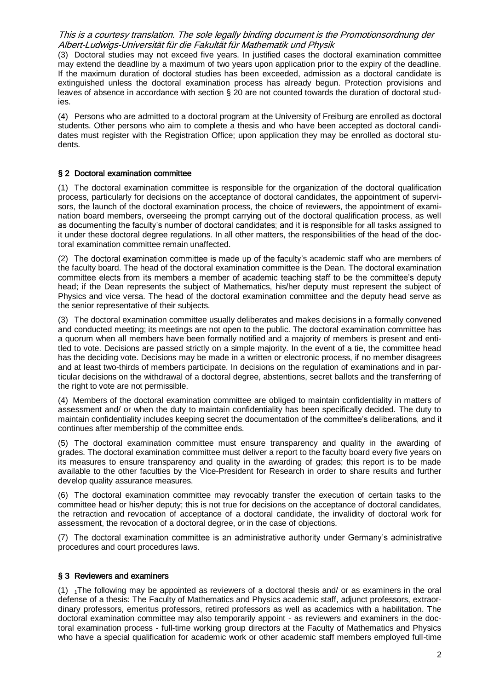(3) Doctoral studies may not exceed five years. In justified cases the doctoral examination committee may extend the deadline by a maximum of two years upon application prior to the expiry of the deadline. If the maximum duration of doctoral studies has been exceeded, admission as a doctoral candidate is extinguished unless the doctoral examination process has already begun. Protection provisions and leaves of absence in accordance with section § 20 are not counted towards the duration of doctoral studies.

(4) Persons who are admitted to a doctoral program at the University of Freiburg are enrolled as doctoral students. Other persons who aim to complete a thesis and who have been accepted as doctoral candidates must register with the Registration Office; upon application they may be enrolled as doctoral students.

#### § 2 Doctoral examination committee

(1) The doctoral examination committee is responsible for the organization of the doctoral qualification process, particularly for decisions on the acceptance of doctoral candidates, the appointment of supervisors, the launch of the doctoral examination process, the choice of reviewers, the appointment of examination board members, overseeing the prompt carrying out of the doctoral qualification process, as well as documenting the faculty's number of doctoral candidates; and it is responsible for all tasks assigned to it under these doctoral degree regulations. In all other matters, the responsibilities of the head of the doctoral examination committee remain unaffected.

(2) The doctoral examination committee is made up of the faculty's academic staff who are members of the faculty board. The head of the doctoral examination committee is the Dean. The doctoral examination committee elects from its members a member of academic teaching staff to be the committee's deputy head; if the Dean represents the subject of Mathematics, his/her deputy must represent the subject of Physics and vice versa. The head of the doctoral examination committee and the deputy head serve as the senior representative of their subjects.

(3) The doctoral examination committee usually deliberates and makes decisions in a formally convened and conducted meeting; its meetings are not open to the public. The doctoral examination committee has a quorum when all members have been formally notified and a majority of members is present and entitled to vote. Decisions are passed strictly on a simple majority. In the event of a tie, the committee head has the deciding vote. Decisions may be made in a written or electronic process, if no member disagrees and at least two-thirds of members participate. In decisions on the regulation of examinations and in particular decisions on the withdrawal of a doctoral degree, abstentions, secret ballots and the transferring of the right to vote are not permissible.

(4) Members of the doctoral examination committee are obliged to maintain confidentiality in matters of assessment and/ or when the duty to maintain confidentiality has been specifically decided. The duty to maintain confidentiality includes keeping secret the documentation of the committee's deliberations, and it continues after membership of the committee ends.

(5) The doctoral examination committee must ensure transparency and quality in the awarding of grades. The doctoral examination committee must deliver a report to the faculty board every five years on its measures to ensure transparency and quality in the awarding of grades; this report is to be made available to the other faculties by the Vice-President for Research in order to share results and further develop quality assurance measures.

(6) The doctoral examination committee may revocably transfer the execution of certain tasks to the committee head or his/her deputy; this is not true for decisions on the acceptance of doctoral candidates, the retraction and revocation of acceptance of a doctoral candidate, the invalidity of doctoral work for assessment, the revocation of a doctoral degree, or in the case of objections.

(7) The doctoral examination committee is an administrative authority under Germany's administrative procedures and court procedures laws.

#### § 3 Reviewers and examiners

 $(1)$  <sub>1</sub>The following may be appointed as reviewers of a doctoral thesis and/ or as examiners in the oral defense of a thesis: The Faculty of Mathematics and Physics academic staff, adjunct professors, extraordinary professors, emeritus professors, retired professors as well as academics with a habilitation. The doctoral examination committee may also temporarily appoint - as reviewers and examiners in the doctoral examination process - full-time working group directors at the Faculty of Mathematics and Physics who have a special qualification for academic work or other academic staff members employed full-time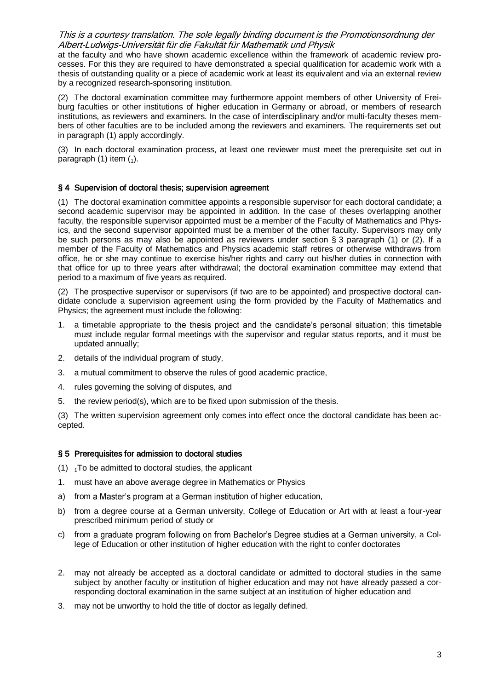at the faculty and who have shown academic excellence within the framework of academic review processes. For this they are required to have demonstrated a special qualification for academic work with a thesis of outstanding quality or a piece of academic work at least its equivalent and via an external review by a recognized research-sponsoring institution.

(2) The doctoral examination committee may furthermore appoint members of other University of Freiburg faculties or other institutions of higher education in Germany or abroad, or members of research institutions, as reviewers and examiners. In the case of interdisciplinary and/or multi-faculty theses members of other faculties are to be included among the reviewers and examiners. The requirements set out in paragraph (1) apply accordingly.

(3) In each doctoral examination process, at least one reviewer must meet the prerequisite set out in paragraph  $(1)$  item  $(1)$ .

## § 4 Supervision of doctoral thesis; supervision agreement

(1) The doctoral examination committee appoints a responsible supervisor for each doctoral candidate; a second academic supervisor may be appointed in addition. In the case of theses overlapping another faculty, the responsible supervisor appointed must be a member of the Faculty of Mathematics and Physics, and the second supervisor appointed must be a member of the other faculty. Supervisors may only be such persons as may also be appointed as reviewers under section § 3 paragraph (1) or (2). If a member of the Faculty of Mathematics and Physics academic staff retires or otherwise withdraws from office, he or she may continue to exercise his/her rights and carry out his/her duties in connection with that office for up to three years after withdrawal; the doctoral examination committee may extend that period to a maximum of five years as required.

(2) The prospective supervisor or supervisors (if two are to be appointed) and prospective doctoral candidate conclude a supervision agreement using the form provided by the Faculty of Mathematics and Physics; the agreement must include the following:

- 1. a timetable appropriate to the thesis project and the candidate's personal situation; this timetable must include regular formal meetings with the supervisor and regular status reports, and it must be updated annually;
- 2. details of the individual program of study,
- 3. a mutual commitment to observe the rules of good academic practice,
- 4. rules governing the solving of disputes, and
- 5. the review period(s), which are to be fixed upon submission of the thesis.

(3) The written supervision agreement only comes into effect once the doctoral candidate has been accepted.

#### § 5 Prerequisites for admission to doctoral studies

- (1)  $1T$ o be admitted to doctoral studies, the applicant
- 1. must have an above average degree in Mathematics or Physics
- a) from a Master's program at a German institution of higher education,
- b) from a degree course at a German university, College of Education or Art with at least a four-year prescribed minimum period of study or
- c) from a graduate program following on from Bachelor's Degree studies at a German university, a College of Education or other institution of higher education with the right to confer doctorates
- 2. may not already be accepted as a doctoral candidate or admitted to doctoral studies in the same subject by another faculty or institution of higher education and may not have already passed a corresponding doctoral examination in the same subject at an institution of higher education and
- 3. may not be unworthy to hold the title of doctor as legally defined.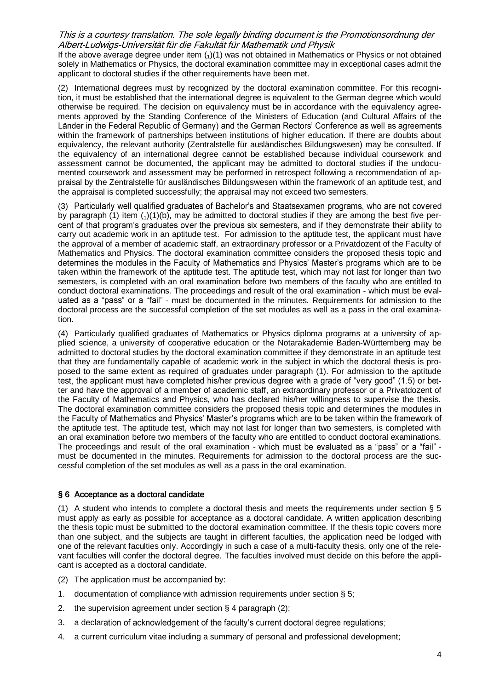If the above average degree under item  $\binom{1}{1}$  was not obtained in Mathematics or Physics or not obtained solely in Mathematics or Physics, the doctoral examination committee may in exceptional cases admit the applicant to doctoral studies if the other requirements have been met.

(2) International degrees must by recognized by the doctoral examination committee. For this recognition, it must be established that the international degree is equivalent to the German degree which would otherwise be required. The decision on equivalency must be in accordance with the equivalency agreements approved by the Standing Conference of the Ministers of Education (and Cultural Affairs of the Länder in the Federal Republic of Germany) and the German Rectors' Conference as well as agreements within the framework of partnerships between institutions of higher education. If there are doubts about equivalency, the relevant authority (Zentralstelle für ausländisches Bildungswesen) may be consulted. If the equivalency of an international degree cannot be established because individual coursework and assessment cannot be documented, the applicant may be admitted to doctoral studies if the undocumented coursework and assessment may be performed in retrospect following a recommendation of appraisal by the Zentralstelle für ausländisches Bildungswesen within the framework of an aptitude test, and the appraisal is completed successfully; the appraisal may not exceed two semesters.

(3) Particularly well qualified graduates of Bachelor's and Staatsexamen programs, who are not covered by paragraph (1) item  $(1)(1)(b)$ , may be admitted to doctoral studies if they are among the best five per-<br>cent of that program's graduates over the previous six semesters, and if they demonstrate their ability to carry out academic work in an aptitude test. For admission to the aptitude test, the applicant must have the approval of a member of academic staff, an extraordinary professor or a Privatdozent of the Faculty of Mathematics and Physics. The doctoral examination committee considers the proposed thesis topic and determines the modules in the Faculty of Mathematics and Physics' Master's programs which are to be taken within the framework of the aptitude test. The aptitude test, which may not last for longer than two semesters, is completed with an oral examination before two members of the faculty who are entitled to conduct doctoral examinations. The proceedings and result of the oral examination - which must be eval uated as a "pass" or a "fail" - must be documented in the minutes. Requirements for admission to the doctoral process are the successful completion of the set modules as well as a pass in the oral examination.

(4) Particularly qualified graduates of Mathematics or Physics diploma programs at a university of applied science, a university of cooperative education or the Notarakademie Baden-Württemberg may be admitted to doctoral studies by the doctoral examination committee if they demonstrate in an aptitude test that they are fundamentally capable of academic work in the subject in which the doctoral thesis is proposed to the same extent as required of graduates under paragraph (1). For admission to the aptitude test, the applicant must have completed his/her previous degree with a grade of "very good" (1.5) or better and have the approval of a member of academic staff, an extraordinary professor or a Privatdozent of the Faculty of Mathematics and Physics, who has declared his/her willingness to supervise the thesis. The doctoral examination committee considers the proposed thesis topic and determines the modules in the Faculty of Mathematics and Physics' Master's programs which are to be taken within the framework of the aptitude test. The aptitude test, which may not last for longer than two semesters, is completed with an oral examination before two members of the faculty who are entitled to conduct doctoral examinations. The proceedings and result of the oral examination - which must be evaluated as a "pass" or a "fail" must be documented in the minutes. Requirements for admission to the doctoral process are the successful completion of the set modules as well as a pass in the oral examination.

#### § 6 Acceptance as a doctoral candidate

(1) A student who intends to complete a doctoral thesis and meets the requirements under section § 5 must apply as early as possible for acceptance as a doctoral candidate. A written application describing the thesis topic must be submitted to the doctoral examination committee. If the thesis topic covers more than one subject, and the subjects are taught in different faculties, the application need be lodged with one of the relevant faculties only. Accordingly in such a case of a multi-faculty thesis, only one of the relevant faculties will confer the doctoral degree. The faculties involved must decide on this before the applicant is accepted as a doctoral candidate.

- (2) The application must be accompanied by:
- 1. documentation of compliance with admission requirements under section § 5;
- 2. the supervision agreement under section § 4 paragraph (2);
- 3. a declaration of acknowledgement of the faculty's current doctoral degree regulations;
- 4. a current curriculum vitae including a summary of personal and professional development;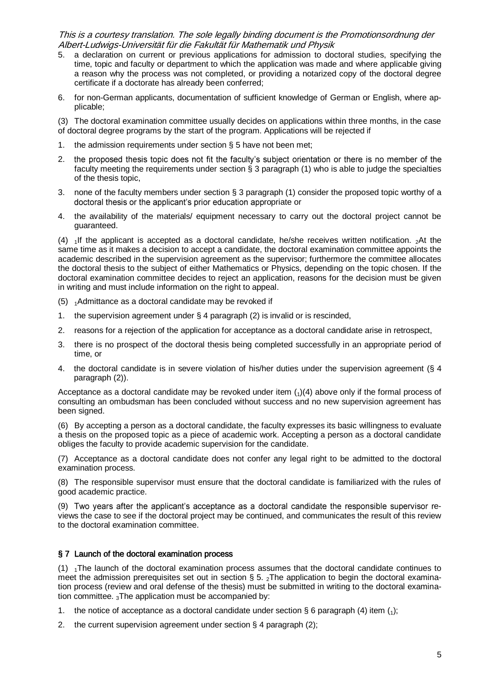- 5. a declaration on current or previous applications for admission to doctoral studies, specifying the time, topic and faculty or department to which the application was made and where applicable giving a reason why the process was not completed, or providing a notarized copy of the doctoral degree certificate if a doctorate has already been conferred;
- 6. for non-German applicants, documentation of sufficient knowledge of German or English, where applicable;

(3) The doctoral examination committee usually decides on applications within three months, in the case of doctoral degree programs by the start of the program. Applications will be rejected if

- 1. the admission requirements under section § 5 have not been met;
- the proposed thesis topic does not fit the faculty's subject orientation or there is no member of the 2. faculty meeting the requirements under section § 3 paragraph (1) who is able to judge the specialties of the thesis topic,
- 3. none of the faculty members under section § 3 paragraph (1) consider the proposed topic worthy of a doctoral thesis or the applicant's prior education appropriate or
- 4. the availability of the materials/ equipment necessary to carry out the doctoral project cannot be guaranteed.

(4)  $\overline{1}$  1If the applicant is accepted as a doctoral candidate, he/she receives written notification.  $\overline{2}$ At the same time as it makes a decision to accept a candidate, the doctoral examination committee appoints the academic described in the supervision agreement as the supervisor; furthermore the committee allocates the doctoral thesis to the subject of either Mathematics or Physics, depending on the topic chosen. If the doctoral examination committee decides to reject an application, reasons for the decision must be given in writing and must include information on the right to appeal.

- (5) <sup>1</sup>Admittance as a doctoral candidate may be revoked if
- 1. the supervision agreement under § 4 paragraph (2) is invalid or is rescinded,
- 2. reasons for a rejection of the application for acceptance as a doctoral candidate arise in retrospect,
- 3. there is no prospect of the doctoral thesis being completed successfully in an appropriate period of time, or
- 4. the doctoral candidate is in severe violation of his/her duties under the supervision agreement (§ 4 paragraph (2)).

Acceptance as a doctoral candidate may be revoked under item  $(1)(4)$  above only if the formal process of consulting an ombudsman has been concluded without success and no new supervision agreement has been signed.

(6) By accepting a person as a doctoral candidate, the faculty expresses its basic willingness to evaluate a thesis on the proposed topic as a piece of academic work. Accepting a person as a doctoral candidate obliges the faculty to provide academic supervision for the candidate.

(7) Acceptance as a doctoral candidate does not confer any legal right to be admitted to the doctoral examination process.

(8) The responsible supervisor must ensure that the doctoral candidate is familiarized with the rules of good academic practice.

(9) Two years after the applicant's acceptance as a doctoral candidate the responsible supervisor reviews the case to see if the doctoral project may be continued, and communicates the result of this review to the doctoral examination committee.

#### § 7 Launch of the doctoral examination process

 $(1)$  <sub>1</sub>The launch of the doctoral examination process assumes that the doctoral candidate continues to meet the admission prerequisites set out in section § 5.  $_2$ The application to begin the doctoral examination process (review and oral defense of the thesis) must be submitted in writing to the doctoral examination committee.  ${}_{3}$ The application must be accompanied by:

- 1. the notice of acceptance as a doctoral candidate under section  $\S$  6 paragraph (4) item (1):
- 2. the current supervision agreement under section § 4 paragraph (2);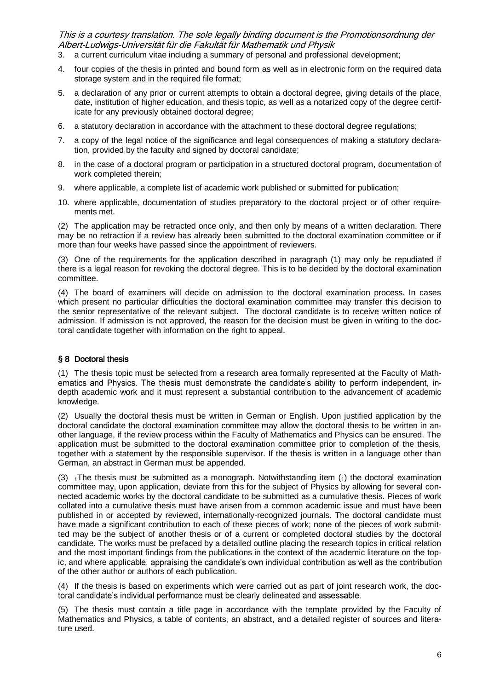- 3. a current curriculum vitae including a summary of personal and professional development;
- 4. four copies of the thesis in printed and bound form as well as in electronic form on the required data storage system and in the required file format;
- 5. a declaration of any prior or current attempts to obtain a doctoral degree, giving details of the place, date, institution of higher education, and thesis topic, as well as a notarized copy of the degree certificate for any previously obtained doctoral degree;
- 6. a statutory declaration in accordance with the attachment to these doctoral degree regulations;
- 7. a copy of the legal notice of the significance and legal consequences of making a statutory declaration, provided by the faculty and signed by doctoral candidate;
- 8. in the case of a doctoral program or participation in a structured doctoral program, documentation of work completed therein;
- 9. where applicable, a complete list of academic work published or submitted for publication;
- 10. where applicable, documentation of studies preparatory to the doctoral project or of other requirements met.

(2) The application may be retracted once only, and then only by means of a written declaration. There may be no retraction if a review has already been submitted to the doctoral examination committee or if more than four weeks have passed since the appointment of reviewers.

(3) One of the requirements for the application described in paragraph (1) may only be repudiated if there is a legal reason for revoking the doctoral degree. This is to be decided by the doctoral examination committee.

(4) The board of examiners will decide on admission to the doctoral examination process. In cases which present no particular difficulties the doctoral examination committee may transfer this decision to the senior representative of the relevant subject. The doctoral candidate is to receive written notice of admission. If admission is not approved, the reason for the decision must be given in writing to the doctoral candidate together with information on the right to appeal.

#### § 8 Doctoral thesis

(1) The thesis topic must be selected from a research area formally represented at the Faculty of Math ematics and Physics. The thesis must demonstrate the candidate's ability to perform independent, indepth academic work and it must represent a substantial contribution to the advancement of academic knowledge.

(2) Usually the doctoral thesis must be written in German or English. Upon justified application by the doctoral candidate the doctoral examination committee may allow the doctoral thesis to be written in another language, if the review process within the Faculty of Mathematics and Physics can be ensured. The application must be submitted to the doctoral examination committee prior to completion of the thesis, together with a statement by the responsible supervisor. If the thesis is written in a language other than German, an abstract in German must be appended.

(3)  $_1$ The thesis must be submitted as a monograph. Notwithstanding item  $\binom{1}{1}$  the doctoral examination committee may, upon application, deviate from this for the subject of Physics by allowing for several connected academic works by the doctoral candidate to be submitted as a cumulative thesis. Pieces of work collated into a cumulative thesis must have arisen from a common academic issue and must have been published in or accepted by reviewed, internationally-recognized journals. The doctoral candidate must have made a significant contribution to each of these pieces of work; none of the pieces of work submitted may be the subject of another thesis or of a current or completed doctoral studies by the doctoral candidate. The works must be prefaced by a detailed outline placing the research topics in critical relation and the most important findings from the publications in the context of the academic literature on the topic, and where applicable, appraising the candidate's own individual contribution as well as the contribution of the other author or authors of each publication.

(4) If the thesis is based on experiments which were carried out as part of joint research work, the doc toral candidate's individual performance must be clearly delineated and assessable.

(5) The thesis must contain a title page in accordance with the template provided by the Faculty of Mathematics and Physics, a table of contents, an abstract, and a detailed register of sources and literature used.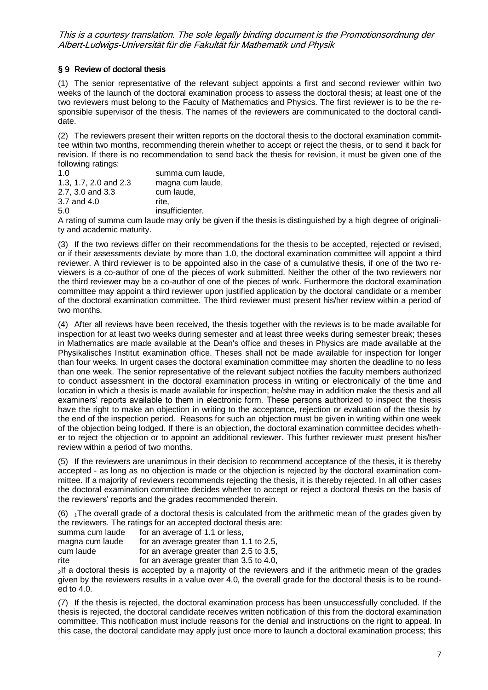## § 9 Review of doctoral thesis

(1) The senior representative of the relevant subject appoints a first and second reviewer within two weeks of the launch of the doctoral examination process to assess the doctoral thesis; at least one of the two reviewers must belong to the Faculty of Mathematics and Physics. The first reviewer is to be the responsible supervisor of the thesis. The names of the reviewers are communicated to the doctoral candidate.

(2) The reviewers present their written reports on the doctoral thesis to the doctoral examination committee within two months, recommending therein whether to accept or reject the thesis, or to send it back for revision. If there is no recommendation to send back the thesis for revision, it must be given one of the following ratings:

| 1.0                   | summa cum laude, |
|-----------------------|------------------|
| 1.3, 1.7, 2.0 and 2.3 | magna cum laude, |
| 2.7, 3.0 and 3.3      | cum laude,       |
| 3.7 and 4.0           | rite.            |
| 5.0                   | insufficienter.  |

A rating of summa cum laude may only be given if the thesis is distinguished by a high degree of originality and academic maturity.

(3) If the two reviews differ on their recommendations for the thesis to be accepted, rejected or revised, or if their assessments deviate by more than 1.0, the doctoral examination committee will appoint a third reviewer. A third reviewer is to be appointed also in the case of a cumulative thesis, if one of the two reviewers is a co-author of one of the pieces of work submitted. Neither the other of the two reviewers nor the third reviewer may be a co-author of one of the pieces of work. Furthermore the doctoral examination committee may appoint a third reviewer upon justified application by the doctoral candidate or a member of the doctoral examination committee. The third reviewer must present his/her review within a period of two months.

(4) After all reviews have been received, the thesis together with the reviews is to be made available for inspection for at least two weeks during semester and at least three weeks during semester break; theses in Mathematics are made available at the Dean's office and theses in Physics are made available at the Physikalisches Institut examination office. Theses shall not be made available for inspection for longer than four weeks. In urgent cases the doctoral examination committee may shorten the deadline to no less than one week. The senior representative of the relevant subject notifies the faculty members authorized to conduct assessment in the doctoral examination process in writing or electronically of the time and location in which a thesis is made available for inspection; he/she may in addition make the thesis and all examiners' reports available to them in electronic form. These persons authorized to inspect the thesis have the right to make an objection in writing to the acceptance, rejection or evaluation of the thesis by the end of the inspection period. Reasons for such an objection must be given in writing within one week of the objection being lodged. If there is an objection, the doctoral examination committee decides whether to reject the objection or to appoint an additional reviewer. This further reviewer must present his/her review within a period of two months.

(5) If the reviewers are unanimous in their decision to recommend acceptance of the thesis, it is thereby accepted - as long as no objection is made or the objection is rejected by the doctoral examination committee. If a majority of reviewers recommends rejecting the thesis, it is thereby rejected. In all other cases the doctoral examination committee decides whether to accept or reject a doctoral thesis on the basis of the reviewers' reports and the grades recommended therein.

 $(6)$  <sub>1</sub>The overall grade of a doctoral thesis is calculated from the arithmetic mean of the grades given by the reviewers. The ratings for an accepted doctoral thesis are:

summa cum laude for an average of 1.1 or less,

magna cum laude for an average greater than 1.1 to 2.5,

cum laude for an average greater than 2.5 to 3.5,

rite for an average greater than 3.5 to 4.0,

<sup>2</sup>If a doctoral thesis is accepted by a majority of the reviewers and if the arithmetic mean of the grades given by the reviewers results in a value over 4.0, the overall grade for the doctoral thesis is to be rounded to 4.0.

(7) If the thesis is rejected, the doctoral examination process has been unsuccessfully concluded. If the thesis is rejected, the doctoral candidate receives written notification of this from the doctoral examination committee. This notification must include reasons for the denial and instructions on the right to appeal. In this case, the doctoral candidate may apply just once more to launch a doctoral examination process; this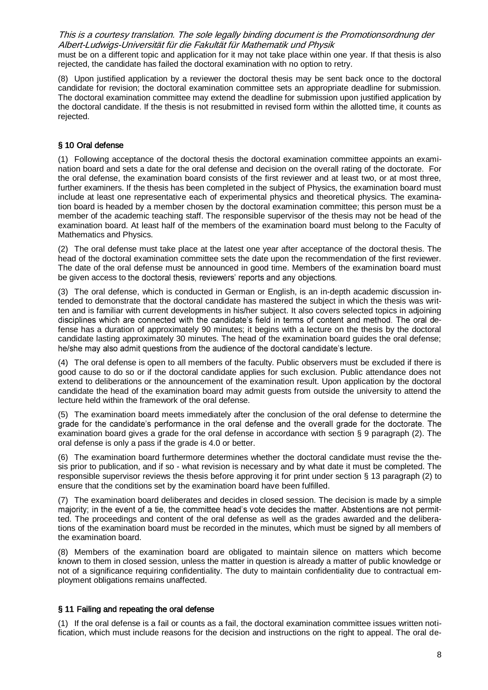must be on a different topic and application for it may not take place within one year. If that thesis is also rejected, the candidate has failed the doctoral examination with no option to retry.

(8) Upon justified application by a reviewer the doctoral thesis may be sent back once to the doctoral candidate for revision; the doctoral examination committee sets an appropriate deadline for submission. The doctoral examination committee may extend the deadline for submission upon justified application by the doctoral candidate. If the thesis is not resubmitted in revised form within the allotted time, it counts as rejected.

## § 10 Oral defense

(1) Following acceptance of the doctoral thesis the doctoral examination committee appoints an examination board and sets a date for the oral defense and decision on the overall rating of the doctorate. For the oral defense, the examination board consists of the first reviewer and at least two, or at most three, further examiners. If the thesis has been completed in the subject of Physics, the examination board must include at least one representative each of experimental physics and theoretical physics. The examination board is headed by a member chosen by the doctoral examination committee; this person must be a member of the academic teaching staff. The responsible supervisor of the thesis may not be head of the examination board. At least half of the members of the examination board must belong to the Faculty of Mathematics and Physics.

(2) The oral defense must take place at the latest one year after acceptance of the doctoral thesis. The head of the doctoral examination committee sets the date upon the recommendation of the first reviewer. The date of the oral defense must be announced in good time. Members of the examination board must be given access to the doctoral thesis, reviewers' reports and any objections.

(3) The oral defense, which is conducted in German or English, is an in-depth academic discussion intended to demonstrate that the doctoral candidate has mastered the subject in which the thesis was written and is familiar with current developments in his/her subject. It also covers selected topics in adjoining disciplines which are connected with the candidate's field in terms of content and method. The oral defense has a duration of approximately 90 minutes; it begins with a lecture on the thesis by the doctoral candidate lasting approximately 30 minutes. The head of the examination board guides the oral defense; he/she may also admit questions from the audience of the doctoral candidate's lecture.

(4) The oral defense is open to all members of the faculty. Public observers must be excluded if there is good cause to do so or if the doctoral candidate applies for such exclusion. Public attendance does not extend to deliberations or the announcement of the examination result. Upon application by the doctoral candidate the head of the examination board may admit guests from outside the university to attend the lecture held within the framework of the oral defense.

(5) The examination board meets immediately after the conclusion of the oral defense to determine the grade for the candidate's performance in the oral defense and the overall grade for the doctorate. The examination board gives a grade for the oral defense in accordance with section § 9 paragraph (2). The oral defense is only a pass if the grade is 4.0 or better.

(6) The examination board furthermore determines whether the doctoral candidate must revise the thesis prior to publication, and if so - what revision is necessary and by what date it must be completed. The responsible supervisor reviews the thesis before approving it for print under section § 13 paragraph (2) to ensure that the conditions set by the examination board have been fulfilled.

(7) The examination board deliberates and decides in closed session. The decision is made by a simple majority; in the event of a tie, the committee head's vote decides the matter. Abstentions are not permitted. The proceedings and content of the oral defense as well as the grades awarded and the deliberations of the examination board must be recorded in the minutes, which must be signed by all members of the examination board.

(8) Members of the examination board are obligated to maintain silence on matters which become known to them in closed session, unless the matter in question is already a matter of public knowledge or not of a significance requiring confidentiality. The duty to maintain confidentiality due to contractual employment obligations remains unaffected.

#### § 11 Failing and repeating the oral defense

(1) If the oral defense is a fail or counts as a fail, the doctoral examination committee issues written notification, which must include reasons for the decision and instructions on the right to appeal. The oral de-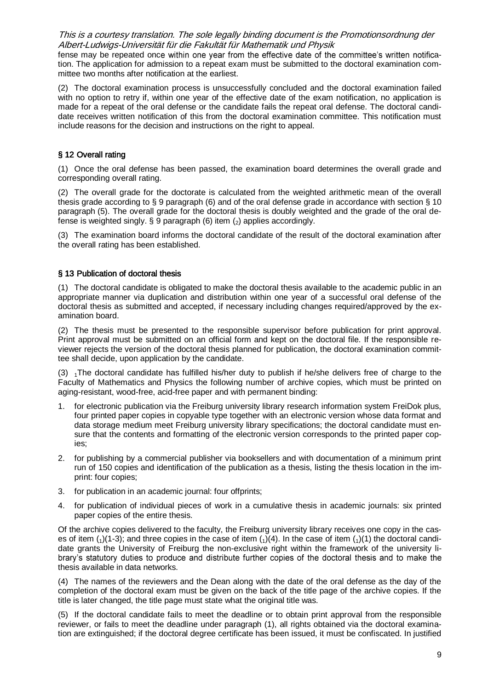fense may be repeated once within one year from the effective date of the committee's written notification. The application for admission to a repeat exam must be submitted to the doctoral examination committee two months after notification at the earliest.

(2) The doctoral examination process is unsuccessfully concluded and the doctoral examination failed with no option to retry if, within one year of the effective date of the exam notification, no application is made for a repeat of the oral defense or the candidate fails the repeat oral defense. The doctoral candidate receives written notification of this from the doctoral examination committee. This notification must include reasons for the decision and instructions on the right to appeal.

### § 12 Overall rating

(1) Once the oral defense has been passed, the examination board determines the overall grade and corresponding overall rating.

(2) The overall grade for the doctorate is calculated from the weighted arithmetic mean of the overall thesis grade according to § 9 paragraph (6) and of the oral defense grade in accordance with section § 10 paragraph (5). The overall grade for the doctoral thesis is doubly weighted and the grade of the oral defense is weighted singly. § 9 paragraph (6) item  $\binom{2}{2}$  applies accordingly.

(3) The examination board informs the doctoral candidate of the result of the doctoral examination after the overall rating has been established.

## § 13 Publication of doctoral thesis

(1) The doctoral candidate is obligated to make the doctoral thesis available to the academic public in an appropriate manner via duplication and distribution within one year of a successful oral defense of the doctoral thesis as submitted and accepted, if necessary including changes required/approved by the examination board.

(2) The thesis must be presented to the responsible supervisor before publication for print approval. Print approval must be submitted on an official form and kept on the doctoral file. If the responsible reviewer rejects the version of the doctoral thesis planned for publication, the doctoral examination committee shall decide, upon application by the candidate.

 $(3)$  <sub>1</sub>The doctoral candidate has fulfilled his/her duty to publish if he/she delivers free of charge to the Faculty of Mathematics and Physics the following number of archive copies, which must be printed on aging-resistant, wood-free, acid-free paper and with permanent binding:

- 1. for electronic publication via the Freiburg university library research information system FreiDok plus, four printed paper copies in copyable type together with an electronic version whose data format and data storage medium meet Freiburg university library specifications; the doctoral candidate must ensure that the contents and formatting of the electronic version corresponds to the printed paper copies;
- 2. for publishing by a commercial publisher via booksellers and with documentation of a minimum print run of 150 copies and identification of the publication as a thesis, listing the thesis location in the imprint: four copies;
- 3. for publication in an academic journal: four offprints;
- 4. for publication of individual pieces of work in a cumulative thesis in academic journals: six printed paper copies of the entire thesis.

Of the archive copies delivered to the faculty, the Freiburg university library receives one copy in the cases of item  $(1)(1-3)$ ; and three copies in the case of item  $(1)(4)$ . In the case of item  $(1)(1)$  the doctoral candidate grants the University of Freiburg the non-exclusive right within the framework of the university library's statutory duties to produce and distribute further copies of the doctoral thesis and to make the thesis available in data networks.

(4) The names of the reviewers and the Dean along with the date of the oral defense as the day of the completion of the doctoral exam must be given on the back of the title page of the archive copies. If the title is later changed, the title page must state what the original title was.

(5) If the doctoral candidate fails to meet the deadline or to obtain print approval from the responsible reviewer, or fails to meet the deadline under paragraph (1), all rights obtained via the doctoral examination are extinguished; if the doctoral degree certificate has been issued, it must be confiscated. In justified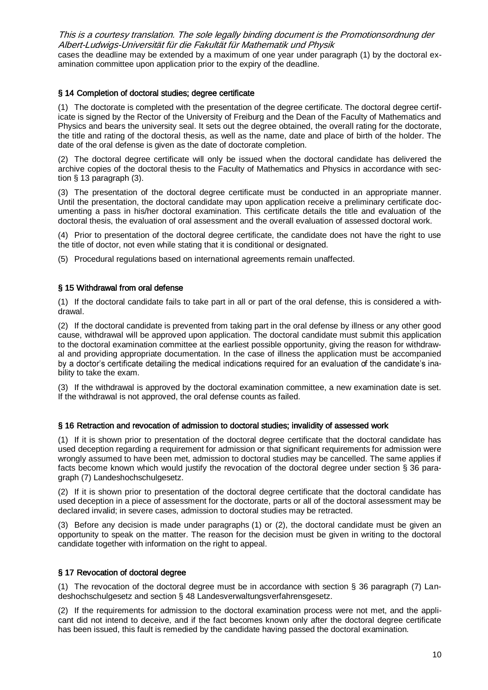This is a courtesy translation. The sole legally binding document is the Promotionsordnung der Albert-Ludwigs-Universität für die Fakultät für Mathematik und Physik cases the deadline may be extended by a maximum of one year under paragraph (1) by the doctoral examination committee upon application prior to the expiry of the deadline.

### § 14 Completion of doctoral studies; degree certificate

(1) The doctorate is completed with the presentation of the degree certificate. The doctoral degree certificate is signed by the Rector of the University of Freiburg and the Dean of the Faculty of Mathematics and Physics and bears the university seal. It sets out the degree obtained, the overall rating for the doctorate, the title and rating of the doctoral thesis, as well as the name, date and place of birth of the holder. The date of the oral defense is given as the date of doctorate completion.

(2) The doctoral degree certificate will only be issued when the doctoral candidate has delivered the archive copies of the doctoral thesis to the Faculty of Mathematics and Physics in accordance with section § 13 paragraph (3).

(3) The presentation of the doctoral degree certificate must be conducted in an appropriate manner. Until the presentation, the doctoral candidate may upon application receive a preliminary certificate documenting a pass in his/her doctoral examination. This certificate details the title and evaluation of the doctoral thesis, the evaluation of oral assessment and the overall evaluation of assessed doctoral work.

(4) Prior to presentation of the doctoral degree certificate, the candidate does not have the right to use the title of doctor, not even while stating that it is conditional or designated.

(5) Procedural regulations based on international agreements remain unaffected.

#### § 15 Withdrawal from oral defense

(1) If the doctoral candidate fails to take part in all or part of the oral defense, this is considered a withdrawal.

(2) If the doctoral candidate is prevented from taking part in the oral defense by illness or any other good cause, withdrawal will be approved upon application. The doctoral candidate must submit this application to the doctoral examination committee at the earliest possible opportunity, giving the reason for withdrawal and providing appropriate documentation. In the case of illness the application must be accompanied by a doctor's certificate detailing the medical indications required for an evaluation of the candidate's inability to take the exam.

(3) If the withdrawal is approved by the doctoral examination committee, a new examination date is set. If the withdrawal is not approved, the oral defense counts as failed.

#### § 16 Retraction and revocation of admission to doctoral studies; invalidity of assessed work

(1) If it is shown prior to presentation of the doctoral degree certificate that the doctoral candidate has used deception regarding a requirement for admission or that significant requirements for admission were wrongly assumed to have been met, admission to doctoral studies may be cancelled. The same applies if facts become known which would justify the revocation of the doctoral degree under section § 36 paragraph (7) Landeshochschulgesetz.

(2) If it is shown prior to presentation of the doctoral degree certificate that the doctoral candidate has used deception in a piece of assessment for the doctorate, parts or all of the doctoral assessment may be declared invalid; in severe cases, admission to doctoral studies may be retracted.

(3) Before any decision is made under paragraphs (1) or (2), the doctoral candidate must be given an opportunity to speak on the matter. The reason for the decision must be given in writing to the doctoral candidate together with information on the right to appeal.

#### § 17 Revocation of doctoral degree

(1) The revocation of the doctoral degree must be in accordance with section § 36 paragraph (7) Landeshochschulgesetz and section § 48 Landesverwaltungsverfahrensgesetz.

(2) If the requirements for admission to the doctoral examination process were not met, and the applicant did not intend to deceive, and if the fact becomes known only after the doctoral degree certificate has been issued, this fault is remedied by the candidate having passed the doctoral examination.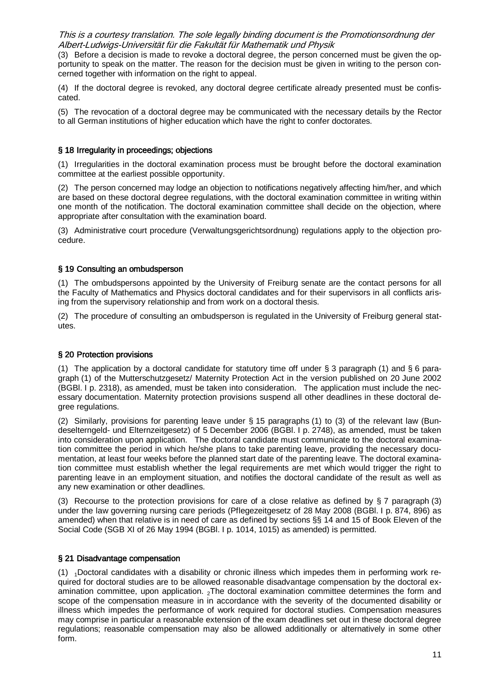(3) Before a decision is made to revoke a doctoral degree, the person concerned must be given the opportunity to speak on the matter. The reason for the decision must be given in writing to the person concerned together with information on the right to appeal.

(4) If the doctoral degree is revoked, any doctoral degree certificate already presented must be confiscated.

(5) The revocation of a doctoral degree may be communicated with the necessary details by the Rector to all German institutions of higher education which have the right to confer doctorates.

#### § 18 Irregularity in proceedings; objections

(1) Irregularities in the doctoral examination process must be brought before the doctoral examination committee at the earliest possible opportunity.

(2) The person concerned may lodge an objection to notifications negatively affecting him/her, and which are based on these doctoral degree regulations, with the doctoral examination committee in writing within one month of the notification. The doctoral examination committee shall decide on the objection, where appropriate after consultation with the examination board.

(3) Administrative court procedure (Verwaltungsgerichtsordnung) regulations apply to the objection procedure.

### § 19 Consulting an ombudsperson

(1) The ombudspersons appointed by the University of Freiburg senate are the contact persons for all the Faculty of Mathematics and Physics doctoral candidates and for their supervisors in all conflicts arising from the supervisory relationship and from work on a doctoral thesis.

(2) The procedure of consulting an ombudsperson is regulated in the University of Freiburg general statutes.

#### § 20 Protection provisions

(1) The application by a doctoral candidate for statutory time off under § 3 paragraph (1) and § 6 paragraph (1) of the Mutterschutzgesetz/ Maternity Protection Act in the version published on 20 June 2002 (BGBl. I p. 2318), as amended, must be taken into consideration. The application must include the necessary documentation. Maternity protection provisions suspend all other deadlines in these doctoral degree regulations.

(2) Similarly, provisions for parenting leave under § 15 paragraphs (1) to (3) of the relevant law (Bundeselterngeld- und Elternzeitgesetz) of 5 December 2006 (BGBl. I p. 2748), as amended, must be taken into consideration upon application. The doctoral candidate must communicate to the doctoral examination committee the period in which he/she plans to take parenting leave, providing the necessary documentation, at least four weeks before the planned start date of the parenting leave. The doctoral examination committee must establish whether the legal requirements are met which would trigger the right to parenting leave in an employment situation, and notifies the doctoral candidate of the result as well as any new examination or other deadlines.

(3) Recourse to the protection provisions for care of a close relative as defined by § 7 paragraph (3) under the law governing nursing care periods (Pflegezeitgesetz of 28 May 2008 (BGBl. I p. 874, 896) as amended) when that relative is in need of care as defined by sections §§ 14 and 15 of Book Eleven of the Social Code (SGB XI of 26 May 1994 (BGBl. I p. 1014, 1015) as amended) is permitted.

#### § 21 Disadvantage compensation

 $(1)$  <sub>1</sub>Doctoral candidates with a disability or chronic illness which impedes them in performing work required for doctoral studies are to be allowed reasonable disadvantage compensation by the doctoral examination committee, upon application.  $_2$ The doctoral examination committee determines the form and scope of the compensation measure in in accordance with the severity of the documented disability or illness which impedes the performance of work required for doctoral studies. Compensation measures may comprise in particular a reasonable extension of the exam deadlines set out in these doctoral degree regulations; reasonable compensation may also be allowed additionally or alternatively in some other form.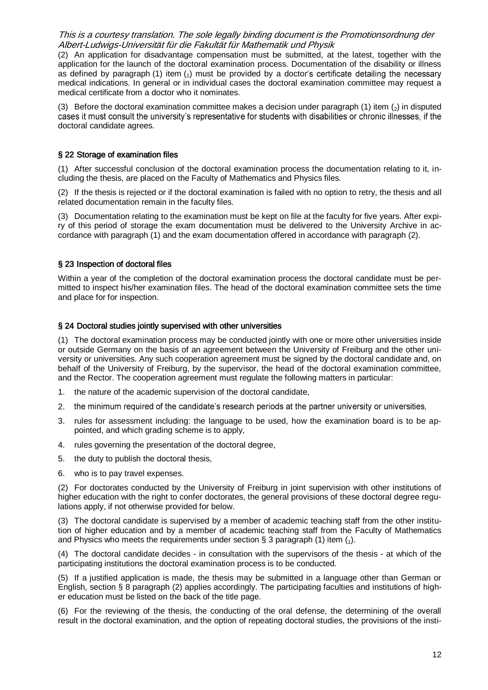(2) An application for disadvantage compensation must be submitted, at the latest, together with the application for the launch of the doctoral examination process. Documentation of the disability or illness as defined by paragraph (1) item  $_{(1)}$  must be provided by a doctor's certificate detailing the necessary medical indications. In general or in individual cases the doctoral examination committee may request a medical certificate from a doctor who it nominates.

(3) Before the doctoral examination committee makes a decision under paragraph (1) item  $\left(2\right)$  in disputed cases it must consult the university's representative for students with disabilities or chronic illnesses, if t doctoral candidate agrees.

#### § 22 Storage of examination files

(1) After successful conclusion of the doctoral examination process the documentation relating to it, including the thesis, are placed on the Faculty of Mathematics and Physics files.

(2) If the thesis is rejected or if the doctoral examination is failed with no option to retry, the thesis and all related documentation remain in the faculty files.

(3) Documentation relating to the examination must be kept on file at the faculty for five years. After expiry of this period of storage the exam documentation must be delivered to the University Archive in accordance with paragraph (1) and the exam documentation offered in accordance with paragraph (2).

## § 23 Inspection of doctoral files

Within a year of the completion of the doctoral examination process the doctoral candidate must be permitted to inspect his/her examination files. The head of the doctoral examination committee sets the time and place for for inspection.

#### § 24 Doctoral studies jointly supervised with other universities

(1) The doctoral examination process may be conducted jointly with one or more other universities inside or outside Germany on the basis of an agreement between the University of Freiburg and the other university or universities. Any such cooperation agreement must be signed by the doctoral candidate and, on behalf of the University of Freiburg, by the supervisor, the head of the doctoral examination committee, and the Rector. The cooperation agreement must regulate the following matters in particular:

- 1. the nature of the academic supervision of the doctoral candidate,
- 2. the minimum required of the candidate's research periods at the partner university or universities,
- 3. rules for assessment including: the language to be used, how the examination board is to be appointed, and which grading scheme is to apply,
- 4. rules governing the presentation of the doctoral degree,
- 5. the duty to publish the doctoral thesis,
- 6. who is to pay travel expenses.

(2) For doctorates conducted by the University of Freiburg in joint supervision with other institutions of higher education with the right to confer doctorates, the general provisions of these doctoral degree regulations apply, if not otherwise provided for below.

(3) The doctoral candidate is supervised by a member of academic teaching staff from the other institution of higher education and by a member of academic teaching staff from the Faculty of Mathematics and Physics who meets the requirements under section § 3 paragraph (1) item  $\binom{1}{1}$ .

(4) The doctoral candidate decides - in consultation with the supervisors of the thesis - at which of the participating institutions the doctoral examination process is to be conducted.

(5) If a justified application is made, the thesis may be submitted in a language other than German or English, section § 8 paragraph (2) applies accordingly. The participating faculties and institutions of higher education must be listed on the back of the title page.

(6) For the reviewing of the thesis, the conducting of the oral defense, the determining of the overall result in the doctoral examination, and the option of repeating doctoral studies, the provisions of the insti-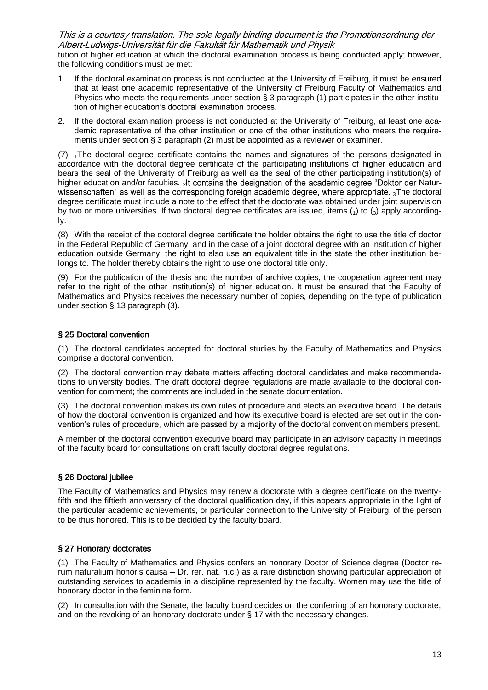tution of higher education at which the doctoral examination process is being conducted apply; however, the following conditions must be met:

- 1. If the doctoral examination process is not conducted at the University of Freiburg, it must be ensured that at least one academic representative of the University of Freiburg Faculty of Mathematics and Physics who meets the requirements under section § 3 paragraph (1) participates in the other institution of higher education's doctoral examination process.
- 2. If the doctoral examination process is not conducted at the University of Freiburg, at least one academic representative of the other institution or one of the other institutions who meets the requirements under section § 3 paragraph (2) must be appointed as a reviewer or examiner.

 $(7)$  <sub>1</sub>The doctoral degree certificate contains the names and signatures of the persons designated in accordance with the doctoral degree certificate of the participating institutions of higher education and bears the seal of the University of Freiburg as well as the seal of the other participating institution(s) of higher education and/or faculties.  $_2$ lt contains the designation of the academic degree "Doktor der Naturwissenschaften" as well as the corresponding foreign academic degree, where appropriate.  ${}_{3}$ The doctoral degree certificate must include a note to the effect that the doctorate was obtained under joint supervision by two or more universities. If two doctoral degree certificates are issued, items  $\binom{1}{1}$  to  $\binom{3}{3}$  apply accordingly.

(8) With the receipt of the doctoral degree certificate the holder obtains the right to use the title of doctor in the Federal Republic of Germany, and in the case of a joint doctoral degree with an institution of higher education outside Germany, the right to also use an equivalent title in the state the other institution belongs to. The holder thereby obtains the right to use one doctoral title only.

(9) For the publication of the thesis and the number of archive copies, the cooperation agreement may refer to the right of the other institution(s) of higher education. It must be ensured that the Faculty of Mathematics and Physics receives the necessary number of copies, depending on the type of publication under section § 13 paragraph (3).

## § 25 Doctoral convention

(1) The doctoral candidates accepted for doctoral studies by the Faculty of Mathematics and Physics comprise a doctoral convention.

(2) The doctoral convention may debate matters affecting doctoral candidates and make recommendations to university bodies. The draft doctoral degree regulations are made available to the doctoral convention for comment; the comments are included in the senate documentation.

(3) The doctoral convention makes its own rules of procedure and elects an executive board. The details of how the doctoral convention is organized and how its executive board is elected are set out in the convention's rules of procedure, which are passed by a majority of the doctoral convention members present.

A member of the doctoral convention executive board may participate in an advisory capacity in meetings of the faculty board for consultations on draft faculty doctoral degree regulations.

## § 26 Doctoral jubilee

The Faculty of Mathematics and Physics may renew a doctorate with a degree certificate on the twentyfifth and the fiftieth anniversary of the doctoral qualification day, if this appears appropriate in the light of the particular academic achievements, or particular connection to the University of Freiburg, of the person to be thus honored. This is to be decided by the faculty board.

#### § 27 Honorary doctorates

(1) The Faculty of Mathematics and Physics confers an honorary Doctor of Science degree (Doctor rerum naturalium honoris causa – Dr. rer. nat. h.c.) as a rare distinction showing particular appreciation of outstanding services to academia in a discipline represented by the faculty. Women may use the title of honorary doctor in the feminine form.

(2) In consultation with the Senate, the faculty board decides on the conferring of an honorary doctorate, and on the revoking of an honorary doctorate under § 17 with the necessary changes.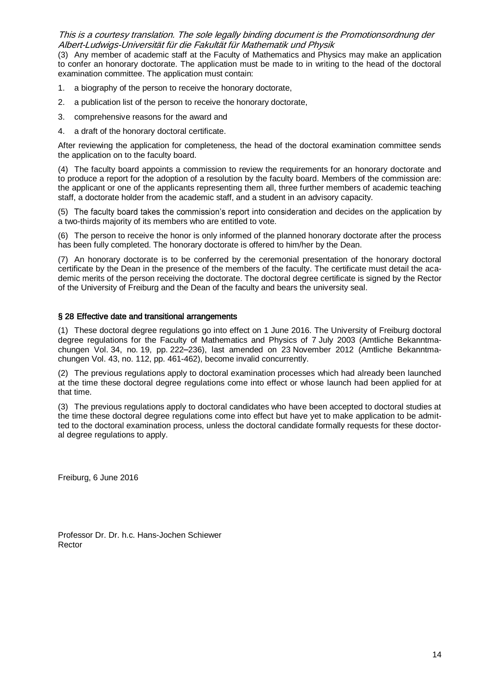(3) Any member of academic staff at the Faculty of Mathematics and Physics may make an application to confer an honorary doctorate. The application must be made to in writing to the head of the doctoral examination committee. The application must contain:

- 1. a biography of the person to receive the honorary doctorate,
- 2. a publication list of the person to receive the honorary doctorate,
- 3. comprehensive reasons for the award and
- 4. a draft of the honorary doctoral certificate.

After reviewing the application for completeness, the head of the doctoral examination committee sends the application on to the faculty board.

(4) The faculty board appoints a commission to review the requirements for an honorary doctorate and to produce a report for the adoption of a resolution by the faculty board. Members of the commission are: the applicant or one of the applicants representing them all, three further members of academic teaching staff, a doctorate holder from the academic staff, and a student in an advisory capacity.

(5) The faculty board takes the commission's report into consideration and decides on the application by a two-thirds majority of its members who are entitled to vote.

(6) The person to receive the honor is only informed of the planned honorary doctorate after the process has been fully completed. The honorary doctorate is offered to him/her by the Dean.

(7) An honorary doctorate is to be conferred by the ceremonial presentation of the honorary doctoral certificate by the Dean in the presence of the members of the faculty. The certificate must detail the academic merits of the person receiving the doctorate. The doctoral degree certificate is signed by the Rector of the University of Freiburg and the Dean of the faculty and bears the university seal.

#### § 28 Effective date and transitional arrangements

(1) These doctoral degree regulations go into effect on 1 June 2016. The University of Freiburg doctoral degree regulations for the Faculty of Mathematics and Physics of 7 July 2003 (Amtliche Bekanntmachungen Vol. 34, no. 19, pp. 222-236), last amended on 23 November 2012 (Amtliche Bekanntmachungen Vol. 43, no. 112, pp. 461-462), become invalid concurrently.

(2) The previous regulations apply to doctoral examination processes which had already been launched at the time these doctoral degree regulations come into effect or whose launch had been applied for at that time.

(3) The previous regulations apply to doctoral candidates who have been accepted to doctoral studies at the time these doctoral degree regulations come into effect but have yet to make application to be admitted to the doctoral examination process, unless the doctoral candidate formally requests for these doctoral degree regulations to apply.

Freiburg, 6 June 2016

Professor Dr. Dr. h.c. Hans-Jochen Schiewer Rector